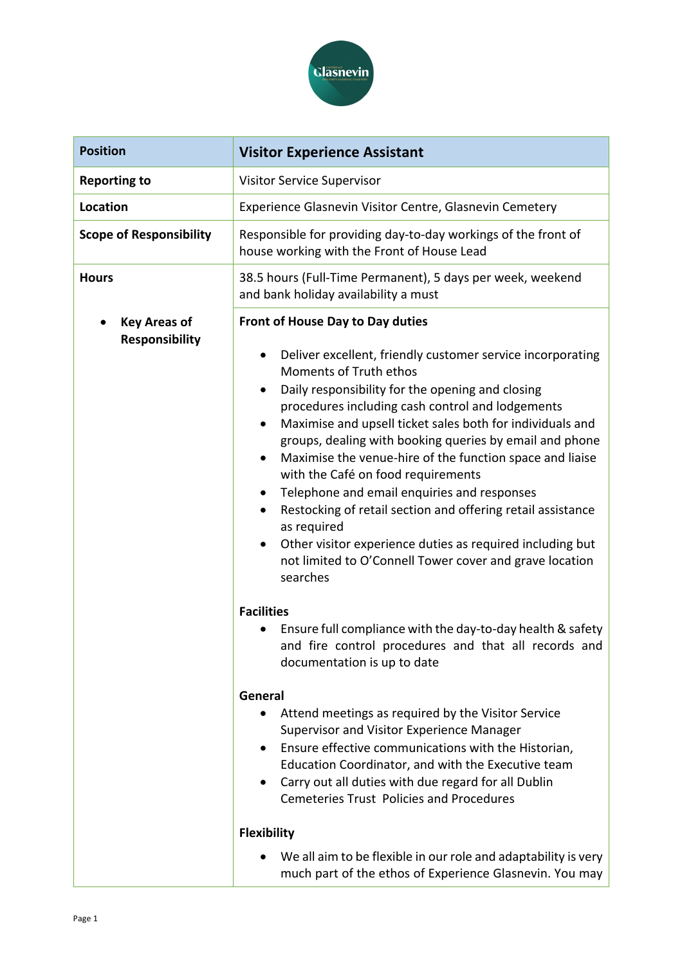

| <b>Position</b>                              | <b>Visitor Experience Assistant</b>                                                                                                                                                                                                                                                                                                                                                                                                                                                                                                                                                                                                                                                                                                                                                          |
|----------------------------------------------|----------------------------------------------------------------------------------------------------------------------------------------------------------------------------------------------------------------------------------------------------------------------------------------------------------------------------------------------------------------------------------------------------------------------------------------------------------------------------------------------------------------------------------------------------------------------------------------------------------------------------------------------------------------------------------------------------------------------------------------------------------------------------------------------|
| <b>Reporting to</b>                          | Visitor Service Supervisor                                                                                                                                                                                                                                                                                                                                                                                                                                                                                                                                                                                                                                                                                                                                                                   |
| Location                                     | Experience Glasnevin Visitor Centre, Glasnevin Cemetery                                                                                                                                                                                                                                                                                                                                                                                                                                                                                                                                                                                                                                                                                                                                      |
| <b>Scope of Responsibility</b>               | Responsible for providing day-to-day workings of the front of<br>house working with the Front of House Lead                                                                                                                                                                                                                                                                                                                                                                                                                                                                                                                                                                                                                                                                                  |
| <b>Hours</b>                                 | 38.5 hours (Full-Time Permanent), 5 days per week, weekend<br>and bank holiday availability a must                                                                                                                                                                                                                                                                                                                                                                                                                                                                                                                                                                                                                                                                                           |
| <b>Key Areas of</b><br><b>Responsibility</b> | Front of House Day to Day duties<br>Deliver excellent, friendly customer service incorporating<br>Moments of Truth ethos<br>Daily responsibility for the opening and closing<br>procedures including cash control and lodgements<br>Maximise and upsell ticket sales both for individuals and<br>$\bullet$<br>groups, dealing with booking queries by email and phone<br>Maximise the venue-hire of the function space and liaise<br>$\bullet$<br>with the Café on food requirements<br>Telephone and email enquiries and responses<br>$\bullet$<br>Restocking of retail section and offering retail assistance<br>$\bullet$<br>as required<br>Other visitor experience duties as required including but<br>$\bullet$<br>not limited to O'Connell Tower cover and grave location<br>searches |
|                                              | <b>Facilities</b><br>Ensure full compliance with the day-to-day health & safety<br>and fire control procedures and that all records and<br>documentation is up to date<br>General<br>Attend meetings as required by the Visitor Service<br>$\bullet$<br><b>Supervisor and Visitor Experience Manager</b><br>Ensure effective communications with the Historian,<br>$\bullet$<br>Education Coordinator, and with the Executive team<br>Carry out all duties with due regard for all Dublin<br>٠<br><b>Cemeteries Trust Policies and Procedures</b><br><b>Flexibility</b>                                                                                                                                                                                                                      |
|                                              | We all aim to be flexible in our role and adaptability is very<br>much part of the ethos of Experience Glasnevin. You may                                                                                                                                                                                                                                                                                                                                                                                                                                                                                                                                                                                                                                                                    |